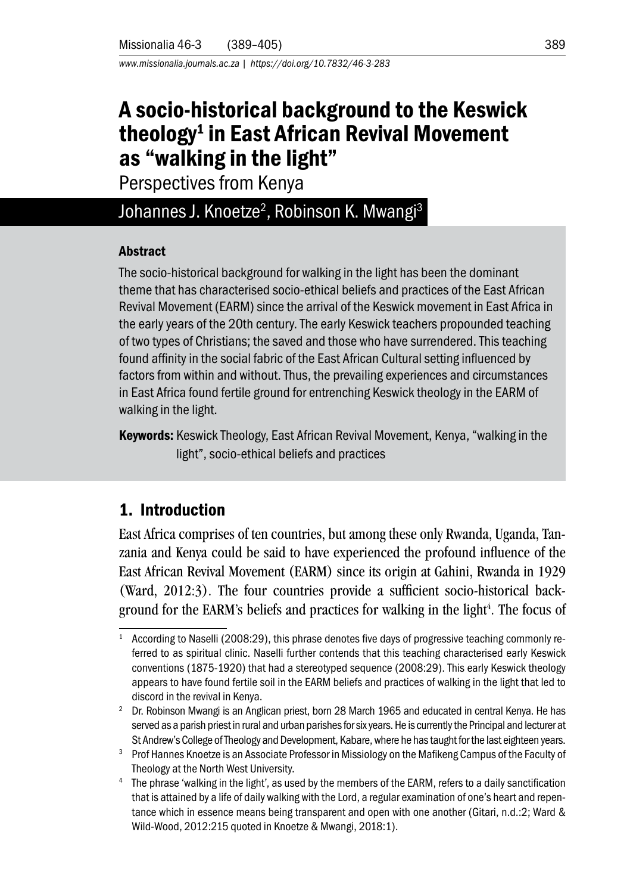*www.missionalia.journals.ac.za | https://doi.org/10.7832/46-3-283*

# A socio-historical background to the Keswick theology<sup>1</sup> in East African Revival Movement as "walking in the light"

Perspectives from Kenya

# Johannes J. Knoetze<sup>2</sup>, Robinson K. Mwangi<sup>3</sup>

#### **Abstract**

The socio-historical background for walking in the light has been the dominant theme that has characterised socio-ethical beliefs and practices of the East African Revival Movement (EARM) since the arrival of the Keswick movement in East Africa in the early years of the 20th century. The early Keswick teachers propounded teaching of two types of Christians; the saved and those who have surrendered. This teaching found affinity in the social fabric of the East African Cultural setting influenced by factors from within and without. Thus, the prevailing experiences and circumstances in East Africa found fertile ground for entrenching Keswick theology in the EARM of walking in the light.

Keywords: Keswick Theology, East African Revival Movement, Kenya, "walking in the light", socio-ethical beliefs and practices

### 1. Introduction

East Africa comprises of ten countries, but among these only Rwanda, Uganda, Tanzania and Kenya could be said to have experienced the profound influence of the East African Revival Movement (EARM) since its origin at Gahini, Rwanda in 1929 (Ward, 2012:3). The four countries provide a sufficient socio-historical background for the EARM's beliefs and practices for walking in the light<sup>4</sup>. The focus of

According to Naselli (2008:29), this phrase denotes five days of progressive teaching commonly referred to as spiritual clinic. Naselli further contends that this teaching characterised early Keswick conventions (1875-1920) that had a stereotyped sequence (2008:29). This early Keswick theology appears to have found fertile soil in the EARM beliefs and practices of walking in the light that led to discord in the revival in Kenya.

 $2\degree$  Dr. Robinson Mwangi is an Anglican priest, born 28 March 1965 and educated in central Kenya. He has served as a parish priest in rural and urban parishes for six years. He is currently the Principal and lecturer at St Andrew's College of Theology and Development, Kabare, where he has taught for the last eighteen years.

<sup>&</sup>lt;sup>3</sup> Prof Hannes Knoetze is an Associate Professor in Missiology on the Mafikeng Campus of the Faculty of Theology at the North West University.

<sup>4</sup> The phrase 'walking in the light', as used by the members of the EARM, refers to a daily sanctification that is attained by a life of daily walking with the Lord, a regular examination of one's heart and repentance which in essence means being transparent and open with one another (Gitari, n.d.:2; Ward & Wild-Wood, 2012:215 quoted in Knoetze & Mwangi, 2018:1).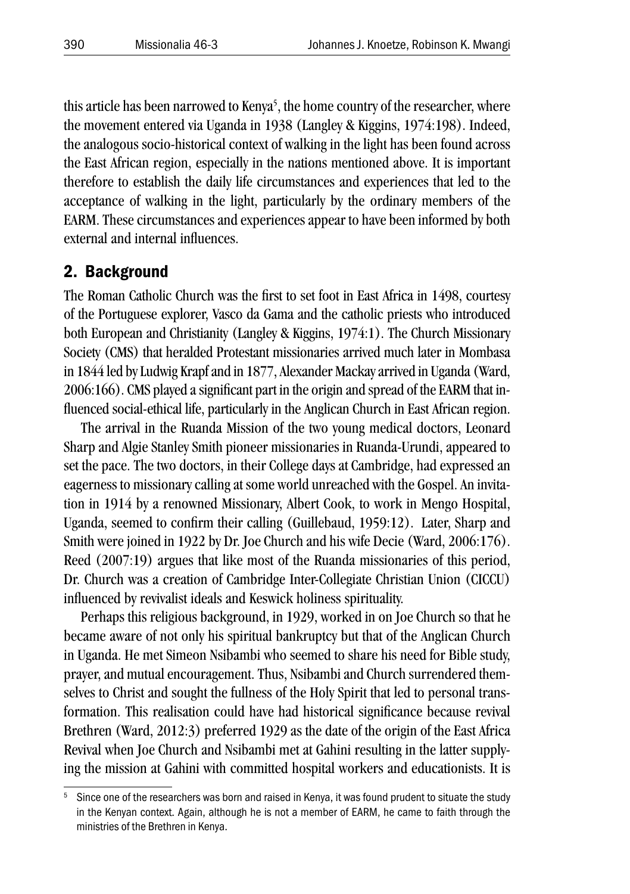this article has been narrowed to Kenya<sup>5</sup>, the home country of the researcher, where the movement entered via Uganda in 1938 (Langley & Kiggins, 1974:198). Indeed, the analogous socio-historical context of walking in the light has been found across the East African region, especially in the nations mentioned above. It is important therefore to establish the daily life circumstances and experiences that led to the acceptance of walking in the light, particularly by the ordinary members of the EARM. These circumstances and experiences appear to have been informed by both external and internal influences.

#### 2. Background

The Roman Catholic Church was the first to set foot in East Africa in 1498, courtesy of the Portuguese explorer, Vasco da Gama and the catholic priests who introduced both European and Christianity (Langley & Kiggins, 1974:1). The Church Missionary Society (CMS) that heralded Protestant missionaries arrived much later in Mombasa in 1844 led by Ludwig Krapf and in 1877, Alexander Mackay arrived in Uganda (Ward, 2006:166). CMS played a significant part in the origin and spread of the EARM that influenced social-ethical life, particularly in the Anglican Church in East African region.

The arrival in the Ruanda Mission of the two young medical doctors, Leonard Sharp and Algie Stanley Smith pioneer missionaries in Ruanda-Urundi, appeared to set the pace. The two doctors, in their College days at Cambridge, had expressed an eagerness to missionary calling at some world unreached with the Gospel. An invitation in 1914 by a renowned Missionary, Albert Cook, to work in Mengo Hospital, Uganda, seemed to confirm their calling (Guillebaud, 1959:12). Later, Sharp and Smith were joined in 1922 by Dr. Joe Church and his wife Decie (Ward, 2006:176). Reed (2007:19) argues that like most of the Ruanda missionaries of this period, Dr. Church was a creation of Cambridge Inter-Collegiate Christian Union (CICCU) influenced by revivalist ideals and Keswick holiness spirituality.

Perhaps this religious background, in 1929, worked in on Joe Church so that he became aware of not only his spiritual bankruptcy but that of the Anglican Church in Uganda. He met Simeon Nsibambi who seemed to share his need for Bible study, prayer, and mutual encouragement. Thus, Nsibambi and Church surrendered themselves to Christ and sought the fullness of the Holy Spirit that led to personal transformation. This realisation could have had historical significance because revival Brethren (Ward, 2012:3) preferred 1929 as the date of the origin of the East Africa Revival when Joe Church and Nsibambi met at Gahini resulting in the latter supplying the mission at Gahini with committed hospital workers and educationists. It is

<sup>5</sup> Since one of the researchers was born and raised in Kenya, it was found prudent to situate the study in the Kenyan context. Again, although he is not a member of EARM, he came to faith through the ministries of the Brethren in Kenya.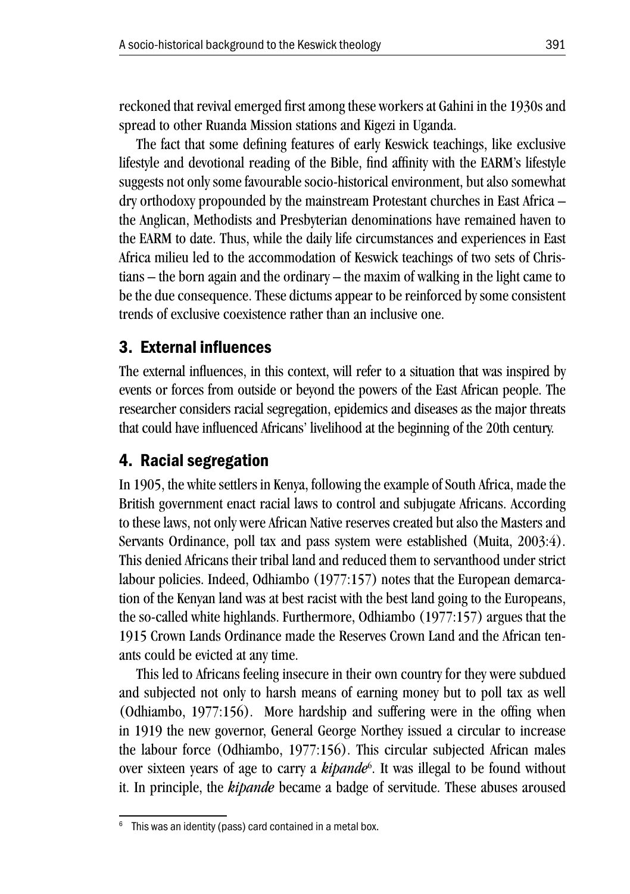reckoned that revival emerged first among these workers at Gahini in the 1930s and spread to other Ruanda Mission stations and Kigezi in Uganda.

The fact that some defining features of early Keswick teachings, like exclusive lifestyle and devotional reading of the Bible, find affinity with the EARM's lifestyle suggests not only some favourable socio-historical environment, but also somewhat dry orthodoxy propounded by the mainstream Protestant churches in East Africa – the Anglican, Methodists and Presbyterian denominations have remained haven to the EARM to date. Thus, while the daily life circumstances and experiences in East Africa milieu led to the accommodation of Keswick teachings of two sets of Christians – the born again and the ordinary – the maxim of walking in the light came to be the due consequence. These dictums appear to be reinforced by some consistent trends of exclusive coexistence rather than an inclusive one.

### 3. External influences

The external influences, in this context, will refer to a situation that was inspired by events or forces from outside or beyond the powers of the East African people. The researcher considers racial segregation, epidemics and diseases as the major threats that could have influenced Africans' livelihood at the beginning of the 20th century.

### 4. Racial segregation

In 1905, the white settlers in Kenya, following the example of South Africa, made the British government enact racial laws to control and subjugate Africans. According to these laws, not only were African Native reserves created but also the Masters and Servants Ordinance, poll tax and pass system were established (Muita, 2003:4). This denied Africans their tribal land and reduced them to servanthood under strict labour policies. Indeed, Odhiambo (1977:157) notes that the European demarcation of the Kenyan land was at best racist with the best land going to the Europeans, the so-called white highlands. Furthermore, Odhiambo (1977:157) argues that the 1915 Crown Lands Ordinance made the Reserves Crown Land and the African tenants could be evicted at any time.

This led to Africans feeling insecure in their own country for they were subdued and subjected not only to harsh means of earning money but to poll tax as well (Odhiambo, 1977:156). More hardship and suffering were in the offing when in 1919 the new governor, General George Northey issued a circular to increase the labour force (Odhiambo, 1977:156). This circular subjected African males over sixteen years of age to carry a *kipande*<sup>6</sup>. It was illegal to be found without it. In principle, the *kipande* became a badge of servitude. These abuses aroused

 $6$  This was an identity (pass) card contained in a metal box.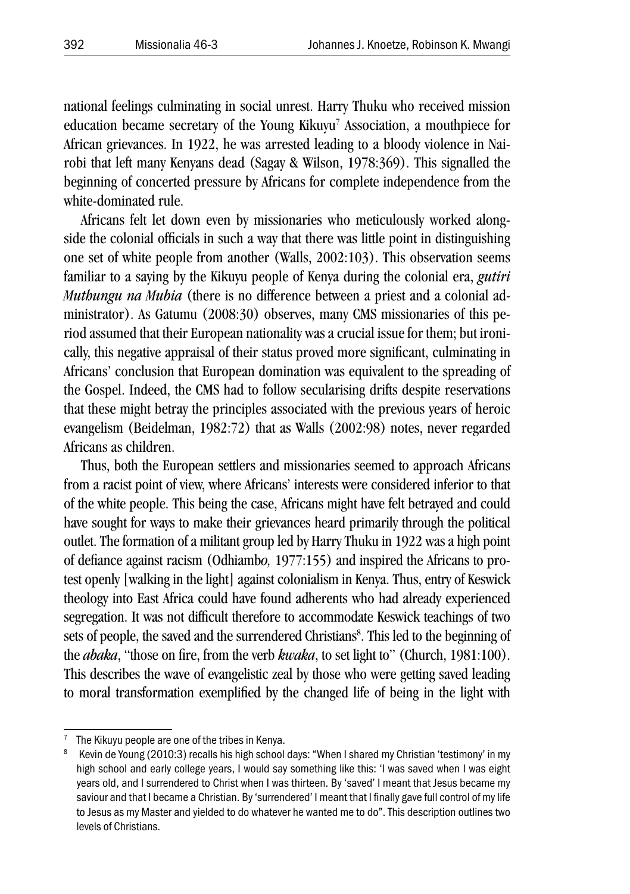national feelings culminating in social unrest. Harry Thuku who received mission education became secretary of the Young Kikuyu<sup>7</sup> Association, a mouthpiece for African grievances. In 1922, he was arrested leading to a bloody violence in Nairobi that left many Kenyans dead (Sagay & Wilson, 1978:369). This signalled the beginning of concerted pressure by Africans for complete independence from the white-dominated rule.

Africans felt let down even by missionaries who meticulously worked alongside the colonial officials in such a way that there was little point in distinguishing one set of white people from another (Walls, 2002:103). This observation seems familiar to a saying by the Kikuyu people of Kenya during the colonial era, *gutiri Muthungu na Mubia* (there is no difference between a priest and a colonial administrator). As Gatumu (2008:30) observes, many CMS missionaries of this period assumed that their European nationality was a crucial issue for them; but ironically, this negative appraisal of their status proved more significant, culminating in Africans' conclusion that European domination was equivalent to the spreading of the Gospel. Indeed, the CMS had to follow secularising drifts despite reservations that these might betray the principles associated with the previous years of heroic evangelism (Beidelman, 1982:72) that as Walls (2002:98) notes, never regarded Africans as children.

Thus, both the European settlers and missionaries seemed to approach Africans from a racist point of view, where Africans' interests were considered inferior to that of the white people. This being the case, Africans might have felt betrayed and could have sought for ways to make their grievances heard primarily through the political outlet. The formation of a militant group led by Harry Thuku in 1922 was a high point of defiance against racism (Odhiamb*o,* 1977:155) and inspired the Africans to protest openly [walking in the light] against colonialism in Kenya. Thus, entry of Keswick theology into East Africa could have found adherents who had already experienced segregation. It was not difficult therefore to accommodate Keswick teachings of two sets of people, the saved and the surrendered Christians<sup>8</sup>. This led to the beginning of the *abaka*, "those on fire, from the verb *kwaka*, to set light to" (Church, 1981:100). This describes the wave of evangelistic zeal by those who were getting saved leading to moral transformation exemplified by the changed life of being in the light with

The Kikuyu people are one of the tribes in Kenya.

<sup>&</sup>lt;sup>8</sup> Kevin de Young (2010:3) recalls his high school days: "When I shared my Christian 'testimony' in my high school and early college years, I would say something like this: 'I was saved when I was eight years old, and I surrendered to Christ when I was thirteen. By 'saved' I meant that Jesus became my saviour and that I became a Christian. By 'surrendered' I meant that I finally gave full control of my life to Jesus as my Master and yielded to do whatever he wanted me to do". This description outlines two levels of Christians.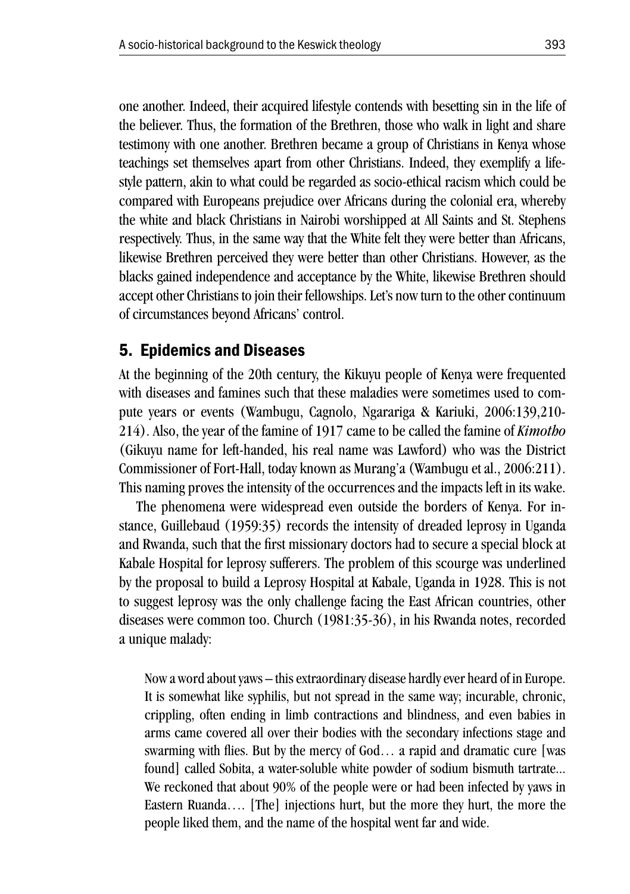one another. Indeed, their acquired lifestyle contends with besetting sin in the life of the believer. Thus, the formation of the Brethren, those who walk in light and share testimony with one another. Brethren became a group of Christians in Kenya whose teachings set themselves apart from other Christians. Indeed, they exemplify a lifestyle pattern, akin to what could be regarded as socio-ethical racism which could be compared with Europeans prejudice over Africans during the colonial era, whereby the white and black Christians in Nairobi worshipped at All Saints and St. Stephens respectively. Thus, in the same way that the White felt they were better than Africans, likewise Brethren perceived they were better than other Christians. However, as the blacks gained independence and acceptance by the White, likewise Brethren should accept other Christians to join their fellowships. Let's now turn to the other continuum of circumstances beyond Africans' control.

### 5. Epidemics and Diseases

At the beginning of the 20th century, the Kikuyu people of Kenya were frequented with diseases and famines such that these maladies were sometimes used to compute years or events (Wambugu, Cagnolo, Ngarariga & Kariuki, 2006:139,210- 214). Also, the year of the famine of 1917 came to be called the famine of *Kimotho* (Gikuyu name for left-handed, his real name was Lawford) who was the District Commissioner of Fort-Hall, today known as Murang'a (Wambugu et al., 2006:211). This naming proves the intensity of the occurrences and the impacts left in its wake.

The phenomena were widespread even outside the borders of Kenya. For instance, Guillebaud (1959:35) records the intensity of dreaded leprosy in Uganda and Rwanda, such that the first missionary doctors had to secure a special block at Kabale Hospital for leprosy sufferers. The problem of this scourge was underlined by the proposal to build a Leprosy Hospital at Kabale, Uganda in 1928. This is not to suggest leprosy was the only challenge facing the East African countries, other diseases were common too. Church (1981:35-36), in his Rwanda notes, recorded a unique malady:

Now a word about yaws – this extraordinary disease hardly ever heard of in Europe. It is somewhat like syphilis, but not spread in the same way; incurable, chronic, crippling, often ending in limb contractions and blindness, and even babies in arms came covered all over their bodies with the secondary infections stage and swarming with flies. But by the mercy of God… a rapid and dramatic cure [was found] called Sobita, a water-soluble white powder of sodium bismuth tartrate... We reckoned that about 90% of the people were or had been infected by yaws in Eastern Ruanda…. [The] injections hurt, but the more they hurt, the more the people liked them, and the name of the hospital went far and wide.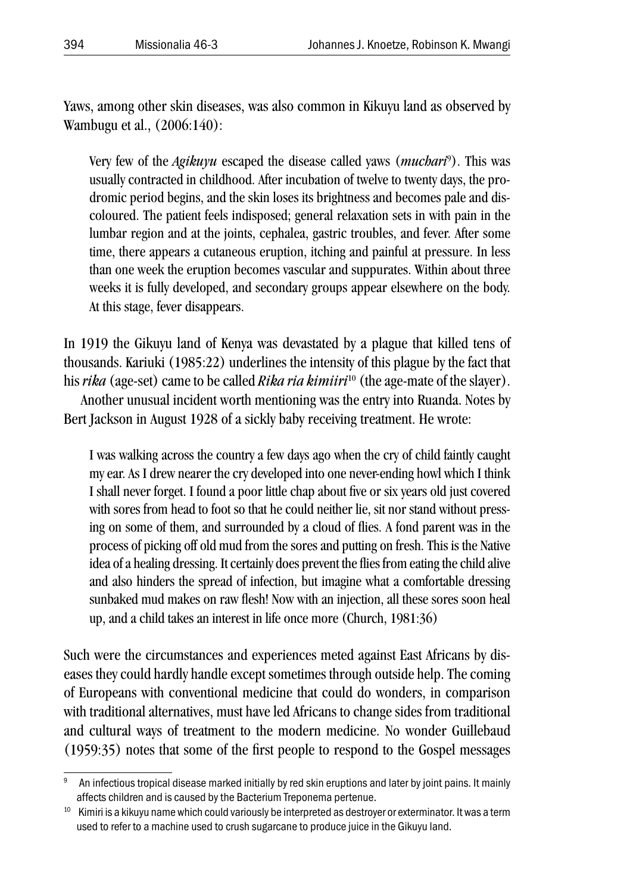Yaws, among other skin diseases, was also common in Kikuyu land as observed by Wambugu et al., (2006:140):

Very few of the *Agikuyu* escaped the disease called yaws (*muchari*<sup>9</sup> ). This was usually contracted in childhood. After incubation of twelve to twenty days, the prodromic period begins, and the skin loses its brightness and becomes pale and discoloured. The patient feels indisposed; general relaxation sets in with pain in the lumbar region and at the joints, cephalea, gastric troubles, and fever. After some time, there appears a cutaneous eruption, itching and painful at pressure. In less than one week the eruption becomes vascular and suppurates. Within about three weeks it is fully developed, and secondary groups appear elsewhere on the body. At this stage, fever disappears.

In 1919 the Gikuyu land of Kenya was devastated by a plague that killed tens of thousands. Kariuki (1985:22) underlines the intensity of this plague by the fact that his *rika* (age-set) came to be called *Rika ria kimiiri*<sup>10</sup> (the age-mate of the slayer). Another unusual incident worth mentioning was the entry into Ruanda. Notes by Bert Jackson in August 1928 of a sickly baby receiving treatment. He wrote:

I was walking across the country a few days ago when the cry of child faintly caught my ear. As I drew nearer the cry developed into one never-ending howl which I think I shall never forget. I found a poor little chap about five or six years old just covered with sores from head to foot so that he could neither lie, sit nor stand without pressing on some of them, and surrounded by a cloud of flies. A fond parent was in the process of picking off old mud from the sores and putting on fresh. This is the Native idea of a healing dressing. It certainly does prevent the flies from eating the child alive and also hinders the spread of infection, but imagine what a comfortable dressing sunbaked mud makes on raw flesh! Now with an injection, all these sores soon heal up, and a child takes an interest in life once more (Church, 1981:36)

Such were the circumstances and experiences meted against East Africans by diseases they could hardly handle except sometimes through outside help. The coming of Europeans with conventional medicine that could do wonders, in comparison with traditional alternatives, must have led Africans to change sides from traditional and cultural ways of treatment to the modern medicine. No wonder Guillebaud (1959:35) notes that some of the first people to respond to the Gospel messages

<sup>9</sup> An infectious tropical disease marked initially by red skin eruptions and later by joint pains. It mainly affects children and is caused by the Bacterium Treponema pertenue.

<sup>&</sup>lt;sup>10</sup> Kimiri is a kikuyu name which could variously be interpreted as destroyer or exterminator. It was a term used to refer to a machine used to crush sugarcane to produce juice in the Gikuyu land.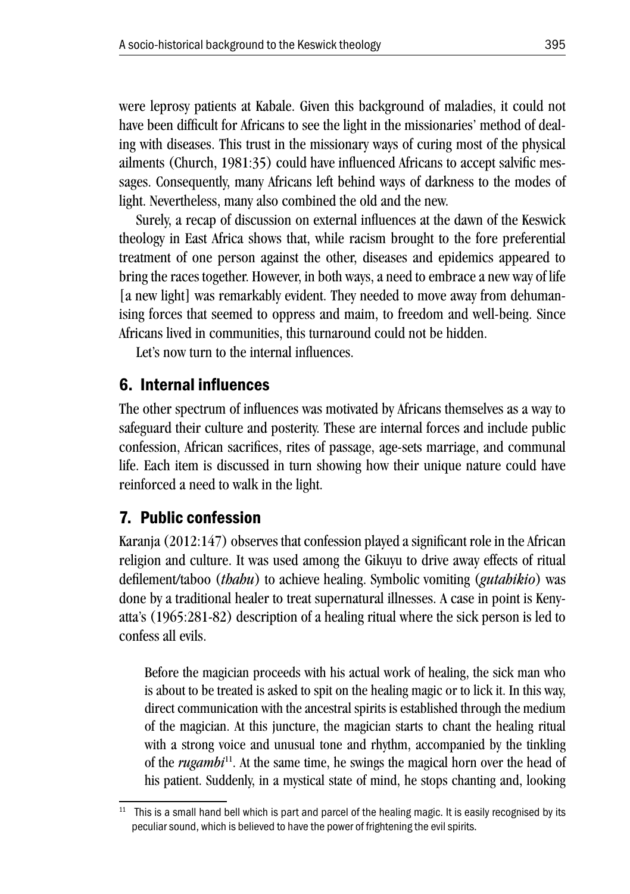were leprosy patients at Kabale. Given this background of maladies, it could not have been difficult for Africans to see the light in the missionaries' method of dealing with diseases. This trust in the missionary ways of curing most of the physical ailments (Church, 1981:35) could have influenced Africans to accept salvific messages. Consequently, many Africans left behind ways of darkness to the modes of light. Nevertheless, many also combined the old and the new.

Surely, a recap of discussion on external influences at the dawn of the Keswick theology in East Africa shows that, while racism brought to the fore preferential treatment of one person against the other, diseases and epidemics appeared to bring the races together. However, in both ways, a need to embrace a new way of life [a new light] was remarkably evident. They needed to move away from dehumanising forces that seemed to oppress and maim, to freedom and well-being. Since Africans lived in communities, this turnaround could not be hidden.

Let's now turn to the internal influences.

### 6. Internal influences

The other spectrum of influences was motivated by Africans themselves as a way to safeguard their culture and posterity. These are internal forces and include public confession, African sacrifices, rites of passage, age-sets marriage, and communal life. Each item is discussed in turn showing how their unique nature could have reinforced a need to walk in the light.

### 7. Public confession

Karanja (2012:147) observes that confession played a significant role in the African religion and culture. It was used among the Gikuyu to drive away effects of ritual defilement/taboo (*thahu*) to achieve healing. Symbolic vomiting (*gutahikio*) was done by a traditional healer to treat supernatural illnesses. A case in point is Kenyatta's (1965:281-82) description of a healing ritual where the sick person is led to confess all evils.

Before the magician proceeds with his actual work of healing, the sick man who is about to be treated is asked to spit on the healing magic or to lick it. In this way, direct communication with the ancestral spirits is established through the medium of the magician. At this juncture, the magician starts to chant the healing ritual with a strong voice and unusual tone and rhythm, accompanied by the tinkling of the *rugambi*11. At the same time, he swings the magical horn over the head of his patient. Suddenly, in a mystical state of mind, he stops chanting and, looking

<sup>&</sup>lt;sup>11</sup> This is a small hand bell which is part and parcel of the healing magic. It is easily recognised by its peculiar sound, which is believed to have the power of frightening the evil spirits.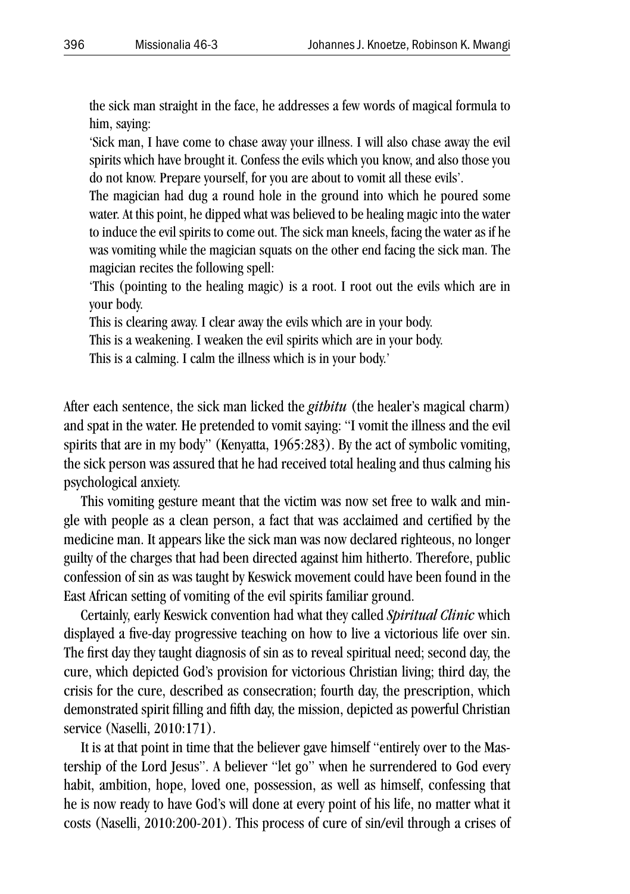the sick man straight in the face, he addresses a few words of magical formula to him, saying:

'Sick man, I have come to chase away your illness. I will also chase away the evil spirits which have brought it. Confess the evils which you know, and also those you do not know. Prepare yourself, for you are about to vomit all these evils'.

The magician had dug a round hole in the ground into which he poured some water. At this point, he dipped what was believed to be healing magic into the water to induce the evil spirits to come out. The sick man kneels, facing the water as if he was vomiting while the magician squats on the other end facing the sick man. The magician recites the following spell:

'This (pointing to the healing magic) is a root. I root out the evils which are in your body.

This is clearing away. I clear away the evils which are in your body.

This is a weakening. I weaken the evil spirits which are in your body.

This is a calming. I calm the illness which is in your body.'

After each sentence, the sick man licked the *githitu* (the healer's magical charm) and spat in the water. He pretended to vomit saying: "I vomit the illness and the evil spirits that are in my body" (Kenyatta, 1965:283). By the act of symbolic vomiting, the sick person was assured that he had received total healing and thus calming his psychological anxiety.

This vomiting gesture meant that the victim was now set free to walk and mingle with people as a clean person, a fact that was acclaimed and certified by the medicine man. It appears like the sick man was now declared righteous, no longer guilty of the charges that had been directed against him hitherto. Therefore, public confession of sin as was taught by Keswick movement could have been found in the East African setting of vomiting of the evil spirits familiar ground.

Certainly, early Keswick convention had what they called *Spiritual Clinic* which displayed a five-day progressive teaching on how to live a victorious life over sin. The first day they taught diagnosis of sin as to reveal spiritual need; second day, the cure, which depicted God's provision for victorious Christian living; third day, the crisis for the cure, described as consecration; fourth day, the prescription, which demonstrated spirit filling and fifth day, the mission, depicted as powerful Christian service (Naselli, 2010:171).

It is at that point in time that the believer gave himself "entirely over to the Mastership of the Lord Jesus". A believer "let go" when he surrendered to God every habit, ambition, hope, loved one, possession, as well as himself, confessing that he is now ready to have God's will done at every point of his life, no matter what it costs (Naselli, 2010:200-201). This process of cure of sin/evil through a crises of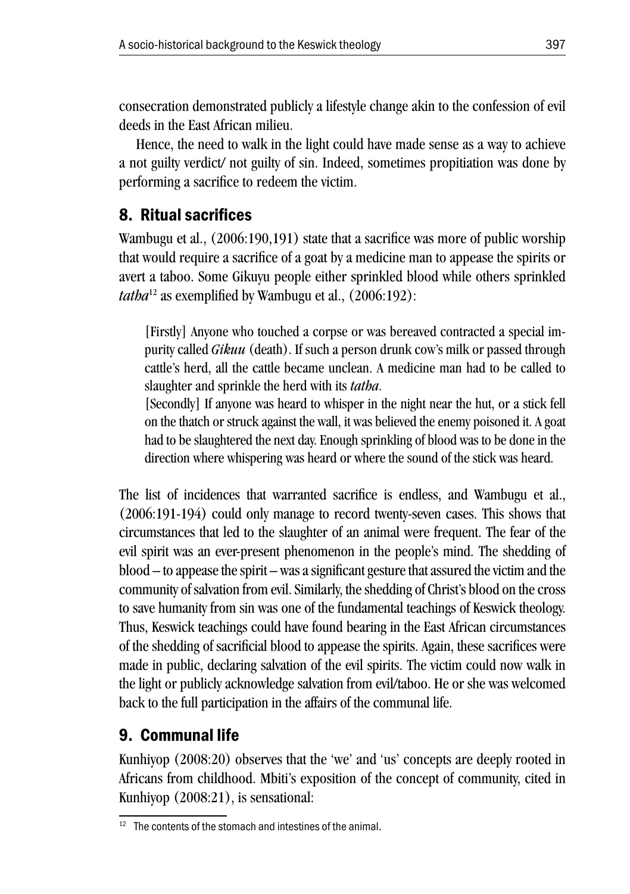consecration demonstrated publicly a lifestyle change akin to the confession of evil deeds in the East African milieu.

Hence, the need to walk in the light could have made sense as a way to achieve a not guilty verdict/ not guilty of sin. Indeed, sometimes propitiation was done by performing a sacrifice to redeem the victim.

# 8. Ritual sacrifices

Wambugu et al., (2006:190,191) state that a sacrifice was more of public worship that would require a sacrifice of a goat by a medicine man to appease the spirits or avert a taboo. Some Gikuyu people either sprinkled blood while others sprinkled *tatha*12 as exemplified by Wambugu et al., (2006:192):

[Firstly] Anyone who touched a corpse or was bereaved contracted a special impurity called *Gikuu* (death). If such a person drunk cow's milk or passed through cattle's herd, all the cattle became unclean. A medicine man had to be called to slaughter and sprinkle the herd with its *tatha*.

[Secondly] If anyone was heard to whisper in the night near the hut, or a stick fell on the thatch or struck against the wall, it was believed the enemy poisoned it. A goat had to be slaughtered the next day. Enough sprinkling of blood was to be done in the direction where whispering was heard or where the sound of the stick was heard.

The list of incidences that warranted sacrifice is endless, and Wambugu et al., (2006:191-194) could only manage to record twenty-seven cases. This shows that circumstances that led to the slaughter of an animal were frequent. The fear of the evil spirit was an ever-present phenomenon in the people's mind. The shedding of blood – to appease the spirit – was a significant gesture that assured the victim and the community of salvation from evil. Similarly, the shedding of Christ's blood on the cross to save humanity from sin was one of the fundamental teachings of Keswick theology. Thus, Keswick teachings could have found bearing in the East African circumstances of the shedding of sacrificial blood to appease the spirits. Again, these sacrifices were made in public, declaring salvation of the evil spirits. The victim could now walk in the light or publicly acknowledge salvation from evil/taboo. He or she was welcomed back to the full participation in the affairs of the communal life.

# 9. Communal life

Kunhiyop (2008:20) observes that the 'we' and 'us' concepts are deeply rooted in Africans from childhood. Mbiti's exposition of the concept of community, cited in Kunhiyop (2008:21), is sensational:

 $12$  The contents of the stomach and intestines of the animal.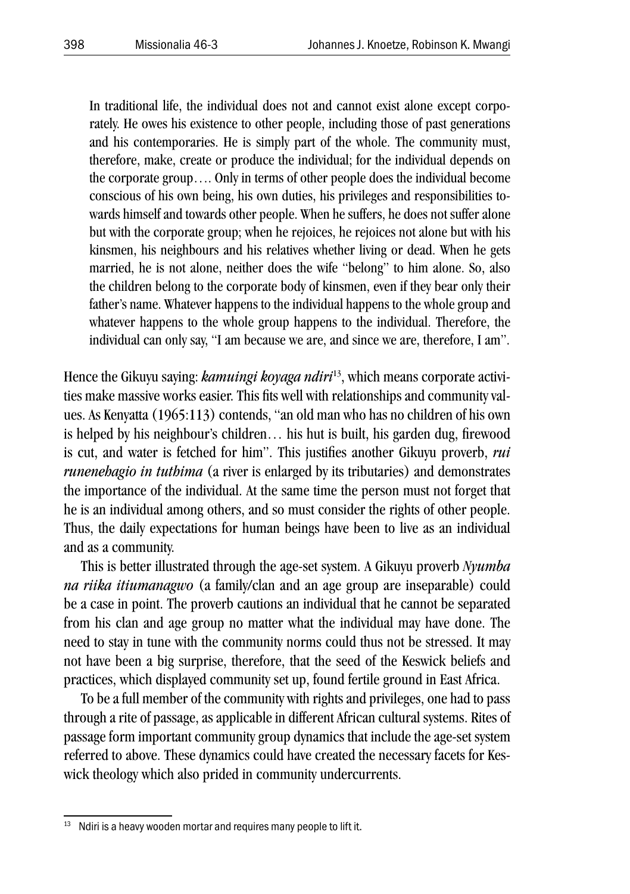In traditional life, the individual does not and cannot exist alone except corporately. He owes his existence to other people, including those of past generations and his contemporaries. He is simply part of the whole. The community must, therefore, make, create or produce the individual; for the individual depends on the corporate group…. Only in terms of other people does the individual become conscious of his own being, his own duties, his privileges and responsibilities towards himself and towards other people. When he suffers, he does not suffer alone but with the corporate group; when he rejoices, he rejoices not alone but with his kinsmen, his neighbours and his relatives whether living or dead. When he gets married, he is not alone, neither does the wife "belong" to him alone. So, also the children belong to the corporate body of kinsmen, even if they bear only their father's name. Whatever happens to the individual happens to the whole group and whatever happens to the whole group happens to the individual. Therefore, the individual can only say, "I am because we are, and since we are, therefore, I am".

Hence the Gikuyu saying: *kamuingi koyaga ndiri*13, which means corporate activities make massive works easier. This fits well with relationships and community values. As Kenyatta (1965:113) contends, "an old man who has no children of his own is helped by his neighbour's children… his hut is built, his garden dug, firewood is cut, and water is fetched for him". This justifies another Gikuyu proverb, *rui runenehagio in tuthima* (a river is enlarged by its tributaries) and demonstrates the importance of the individual. At the same time the person must not forget that he is an individual among others, and so must consider the rights of other people. Thus, the daily expectations for human beings have been to live as an individual and as a community.

This is better illustrated through the age-set system. A Gikuyu proverb *Nyumba na riika itiumanagwo* (a family/clan and an age group are inseparable) could be a case in point. The proverb cautions an individual that he cannot be separated from his clan and age group no matter what the individual may have done. The need to stay in tune with the community norms could thus not be stressed. It may not have been a big surprise, therefore, that the seed of the Keswick beliefs and practices, which displayed community set up, found fertile ground in East Africa.

To be a full member of the community with rights and privileges, one had to pass through a rite of passage, as applicable in different African cultural systems. Rites of passage form important community group dynamics that include the age-set system referred to above. These dynamics could have created the necessary facets for Keswick theology which also prided in community undercurrents.

<sup>&</sup>lt;sup>13</sup> Ndiri is a heavy wooden mortar and requires many people to lift it.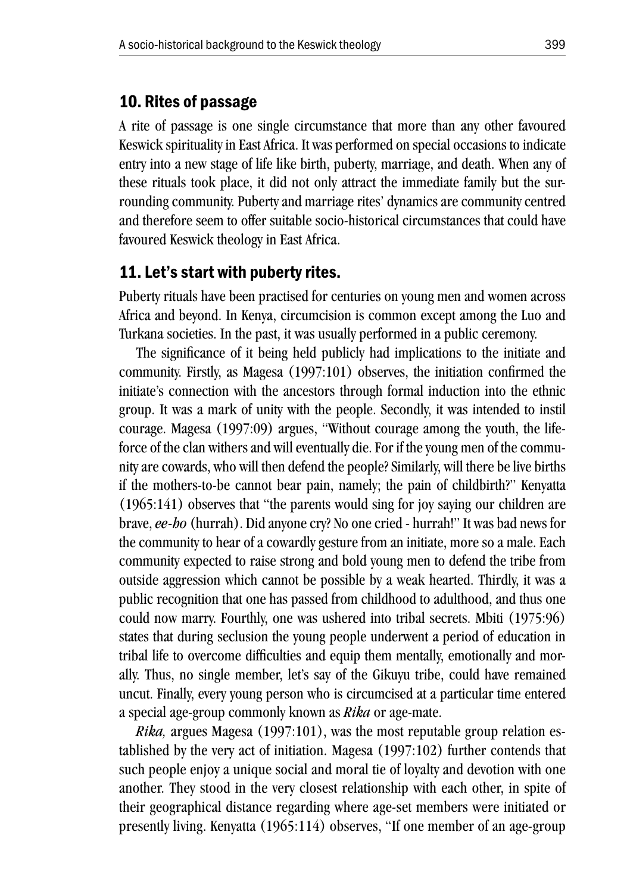#### 10. Rites of passage

A rite of passage is one single circumstance that more than any other favoured Keswick spirituality in East Africa. It was performed on special occasions to indicate entry into a new stage of life like birth, puberty, marriage, and death. When any of these rituals took place, it did not only attract the immediate family but the surrounding community. Puberty and marriage rites' dynamics are community centred and therefore seem to offer suitable socio-historical circumstances that could have favoured Keswick theology in East Africa.

#### 11. Let's start with puberty rites.

Puberty rituals have been practised for centuries on young men and women across Africa and beyond. In Kenya, circumcision is common except among the Luo and Turkana societies. In the past, it was usually performed in a public ceremony.

The significance of it being held publicly had implications to the initiate and community. Firstly, as Magesa (1997:101) observes, the initiation confirmed the initiate's connection with the ancestors through formal induction into the ethnic group. It was a mark of unity with the people. Secondly, it was intended to instil courage. Magesa (1997:09) argues, "Without courage among the youth, the lifeforce of the clan withers and will eventually die. For if the young men of the community are cowards, who will then defend the people? Similarly, will there be live births if the mothers-to-be cannot bear pain, namely; the pain of childbirth?" Kenyatta (1965:141) observes that "the parents would sing for joy saying our children are brave, *ee-ho* (hurrah). Did anyone cry? No one cried - hurrah!" It was bad news for the community to hear of a cowardly gesture from an initiate, more so a male. Each community expected to raise strong and bold young men to defend the tribe from outside aggression which cannot be possible by a weak hearted. Thirdly, it was a public recognition that one has passed from childhood to adulthood, and thus one could now marry. Fourthly, one was ushered into tribal secrets. Mbiti (1975:96) states that during seclusion the young people underwent a period of education in tribal life to overcome difficulties and equip them mentally, emotionally and morally. Thus, no single member, let's say of the Gikuyu tribe, could have remained uncut. Finally, every young person who is circumcised at a particular time entered a special age-group commonly known as *Rika* or age-mate.

*Rika,* argues Magesa (1997:101), was the most reputable group relation established by the very act of initiation. Magesa (1997:102) further contends that such people enjoy a unique social and moral tie of loyalty and devotion with one another. They stood in the very closest relationship with each other, in spite of their geographical distance regarding where age-set members were initiated or presently living. Kenyatta (1965:114) observes, "If one member of an age-group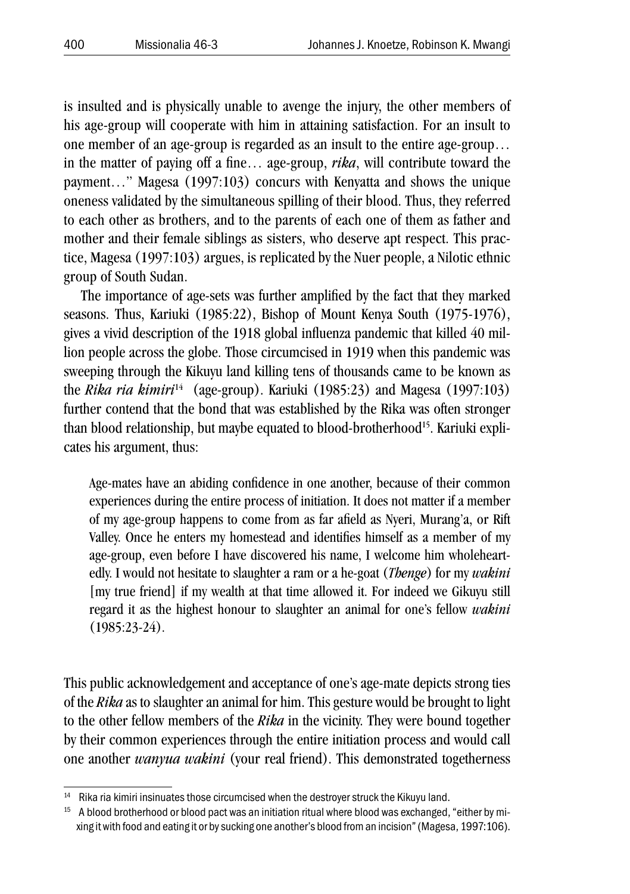is insulted and is physically unable to avenge the injury, the other members of his age-group will cooperate with him in attaining satisfaction. For an insult to one member of an age-group is regarded as an insult to the entire age-group… in the matter of paying off a fine… age-group, *rika*, will contribute toward the payment…" Magesa (1997:103) concurs with Kenyatta and shows the unique oneness validated by the simultaneous spilling of their blood. Thus, they referred to each other as brothers, and to the parents of each one of them as father and mother and their female siblings as sisters, who deserve apt respect. This practice, Magesa (1997:103) argues, is replicated by the Nuer people, a Nilotic ethnic group of South Sudan.

The importance of age-sets was further amplified by the fact that they marked seasons. Thus, Kariuki (1985:22), Bishop of Mount Kenya South (1975-1976), gives a vivid description of the 1918 global influenza pandemic that killed 40 million people across the globe. Those circumcised in 1919 when this pandemic was sweeping through the Kikuyu land killing tens of thousands came to be known as the *Rika ria kimiri<sup>14</sup>* (age-group). Kariuki (1985:23) and Magesa (1997:103) further contend that the bond that was established by the Rika was often stronger than blood relationship, but maybe equated to blood-brotherhood<sup>15</sup>. Kariuki explicates his argument, thus:

Age-mates have an abiding confidence in one another, because of their common experiences during the entire process of initiation. It does not matter if a member of my age-group happens to come from as far afield as Nyeri, Murang'a, or Rift Valley. Once he enters my homestead and identifies himself as a member of my age-group, even before I have discovered his name, I welcome him wholeheartedly. I would not hesitate to slaughter a ram or a he-goat (*Thenge*) for my *wakini* [my true friend] if my wealth at that time allowed it. For indeed we Gikuyu still regard it as the highest honour to slaughter an animal for one's fellow *wakini* (1985:23-24).

This public acknowledgement and acceptance of one's age-mate depicts strong ties of the *Rika* as to slaughter an animal for him. This gesture would be brought to light to the other fellow members of the *Rika* in the vicinity. They were bound together by their common experiences through the entire initiation process and would call one another *wanyua wakini* (your real friend). This demonstrated togetherness

<sup>14</sup> Rika ria kimiri insinuates those circumcised when the destroyer struck the Kikuyu land.

<sup>&</sup>lt;sup>15</sup> A blood brotherhood or blood pact was an initiation ritual where blood was exchanged, "either by mixing it with food and eating it or by sucking one another's blood from an incision" (Magesa, 1997:106).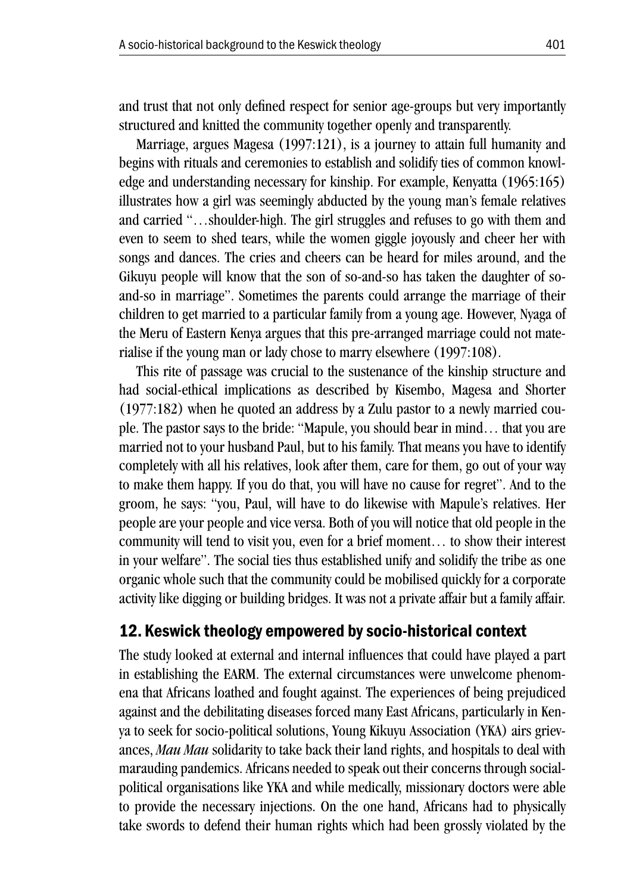and trust that not only defined respect for senior age-groups but very importantly structured and knitted the community together openly and transparently.

Marriage, argues Magesa (1997:121), is a journey to attain full humanity and begins with rituals and ceremonies to establish and solidify ties of common knowledge and understanding necessary for kinship. For example, Kenyatta (1965:165) illustrates how a girl was seemingly abducted by the young man's female relatives and carried "…shoulder-high. The girl struggles and refuses to go with them and even to seem to shed tears, while the women giggle joyously and cheer her with songs and dances. The cries and cheers can be heard for miles around, and the Gikuyu people will know that the son of so-and-so has taken the daughter of soand-so in marriage". Sometimes the parents could arrange the marriage of their children to get married to a particular family from a young age. However, Nyaga of the Meru of Eastern Kenya argues that this pre-arranged marriage could not materialise if the young man or lady chose to marry elsewhere (1997:108).

This rite of passage was crucial to the sustenance of the kinship structure and had social-ethical implications as described by Kisembo, Magesa and Shorter (1977:182) when he quoted an address by a Zulu pastor to a newly married couple. The pastor says to the bride: "Mapule, you should bear in mind… that you are married not to your husband Paul, but to his family. That means you have to identify completely with all his relatives, look after them, care for them, go out of your way to make them happy. If you do that, you will have no cause for regret". And to the groom, he says: "you, Paul, will have to do likewise with Mapule's relatives. Her people are your people and vice versa. Both of you will notice that old people in the community will tend to visit you, even for a brief moment… to show their interest in your welfare". The social ties thus established unify and solidify the tribe as one organic whole such that the community could be mobilised quickly for a corporate activity like digging or building bridges. It was not a private affair but a family affair.

#### 12. Keswick theology empowered by socio-historical context

The study looked at external and internal influences that could have played a part in establishing the EARM. The external circumstances were unwelcome phenomena that Africans loathed and fought against. The experiences of being prejudiced against and the debilitating diseases forced many East Africans, particularly in Kenya to seek for socio-political solutions, Young Kikuyu Association (YKA) airs grievances, *Mau Mau* solidarity to take back their land rights, and hospitals to deal with marauding pandemics. Africans needed to speak out their concerns through socialpolitical organisations like YKA and while medically, missionary doctors were able to provide the necessary injections. On the one hand, Africans had to physically take swords to defend their human rights which had been grossly violated by the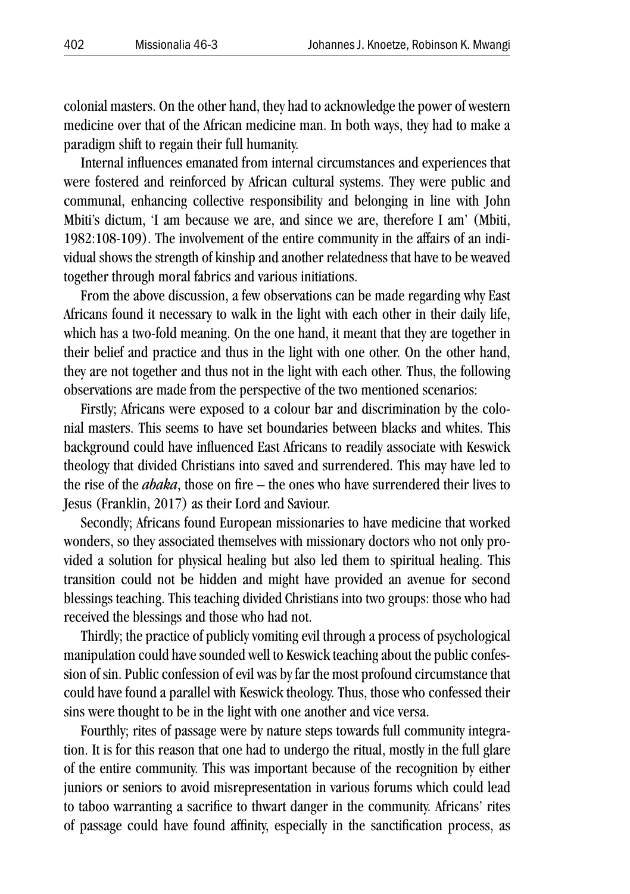colonial masters. On the other hand, they had to acknowledge the power of western medicine over that of the African medicine man. In both ways, they had to make a paradigm shift to regain their full humanity.

Internal influences emanated from internal circumstances and experiences that were fostered and reinforced by African cultural systems. They were public and communal, enhancing collective responsibility and belonging in line with John Mbiti's dictum, 'I am because we are, and since we are, therefore I am' (Mbiti, 1982:108-109). The involvement of the entire community in the affairs of an individual shows the strength of kinship and another relatedness that have to be weaved together through moral fabrics and various initiations.

From the above discussion, a few observations can be made regarding why East Africans found it necessary to walk in the light with each other in their daily life, which has a two-fold meaning. On the one hand, it meant that they are together in their belief and practice and thus in the light with one other. On the other hand, they are not together and thus not in the light with each other. Thus, the following observations are made from the perspective of the two mentioned scenarios:

Firstly; Africans were exposed to a colour bar and discrimination by the colonial masters. This seems to have set boundaries between blacks and whites. This background could have influenced East Africans to readily associate with Keswick theology that divided Christians into saved and surrendered. This may have led to the rise of the *abaka*, those on fire – the ones who have surrendered their lives to Jesus (Franklin, 2017) as their Lord and Saviour.

Secondly; Africans found European missionaries to have medicine that worked wonders, so they associated themselves with missionary doctors who not only provided a solution for physical healing but also led them to spiritual healing. This transition could not be hidden and might have provided an avenue for second blessings teaching. This teaching divided Christians into two groups: those who had received the blessings and those who had not.

Thirdly; the practice of publicly vomiting evil through a process of psychological manipulation could have sounded well to Keswick teaching about the public confession of sin. Public confession of evil was by far the most profound circumstance that could have found a parallel with Keswick theology. Thus, those who confessed their sins were thought to be in the light with one another and vice versa.

Fourthly; rites of passage were by nature steps towards full community integration. It is for this reason that one had to undergo the ritual, mostly in the full glare of the entire community. This was important because of the recognition by either juniors or seniors to avoid misrepresentation in various forums which could lead to taboo warranting a sacrifice to thwart danger in the community. Africans' rites of passage could have found affinity, especially in the sanctification process, as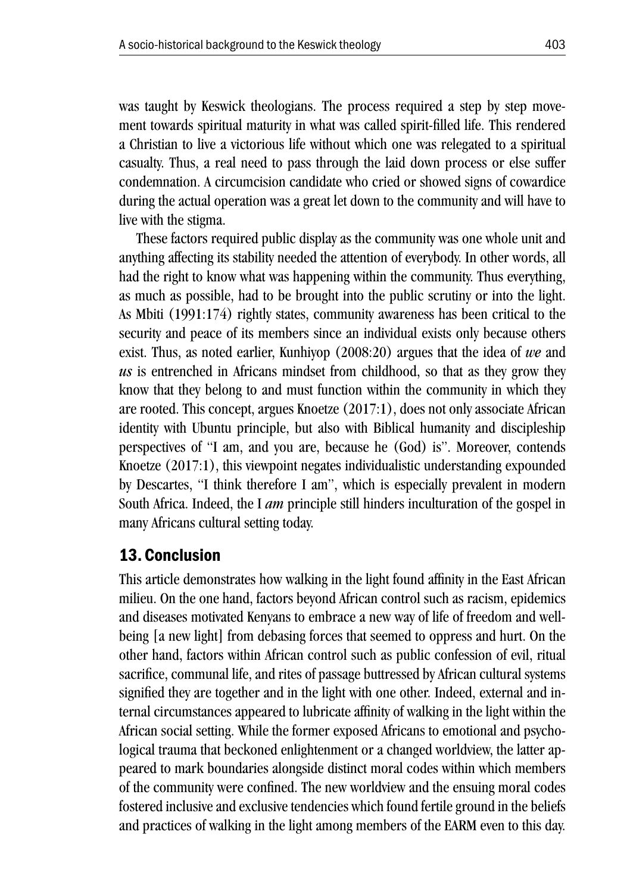was taught by Keswick theologians. The process required a step by step movement towards spiritual maturity in what was called spirit-filled life. This rendered a Christian to live a victorious life without which one was relegated to a spiritual casualty. Thus, a real need to pass through the laid down process or else suffer condemnation. A circumcision candidate who cried or showed signs of cowardice during the actual operation was a great let down to the community and will have to live with the stigma.

These factors required public display as the community was one whole unit and anything affecting its stability needed the attention of everybody. In other words, all had the right to know what was happening within the community. Thus everything, as much as possible, had to be brought into the public scrutiny or into the light. As Mbiti (1991:174) rightly states, community awareness has been critical to the security and peace of its members since an individual exists only because others exist. Thus, as noted earlier, Kunhiyop (2008:20) argues that the idea of *we* and *us* is entrenched in Africans mindset from childhood, so that as they grow they know that they belong to and must function within the community in which they are rooted. This concept, argues Knoetze (2017:1), does not only associate African identity with Ubuntu principle, but also with Biblical humanity and discipleship perspectives of "I am, and you are, because he (God) is". Moreover, contends Knoetze (2017:1), this viewpoint negates individualistic understanding expounded by Descartes, "I think therefore I am", which is especially prevalent in modern South Africa. Indeed, the I *am* principle still hinders inculturation of the gospel in many Africans cultural setting today.

#### 13. Conclusion

This article demonstrates how walking in the light found affinity in the East African milieu. On the one hand, factors beyond African control such as racism, epidemics and diseases motivated Kenyans to embrace a new way of life of freedom and wellbeing [a new light] from debasing forces that seemed to oppress and hurt. On the other hand, factors within African control such as public confession of evil, ritual sacrifice, communal life, and rites of passage buttressed by African cultural systems signified they are together and in the light with one other. Indeed, external and internal circumstances appeared to lubricate affinity of walking in the light within the African social setting. While the former exposed Africans to emotional and psychological trauma that beckoned enlightenment or a changed worldview, the latter appeared to mark boundaries alongside distinct moral codes within which members of the community were confined. The new worldview and the ensuing moral codes fostered inclusive and exclusive tendencies which found fertile ground in the beliefs and practices of walking in the light among members of the EARM even to this day.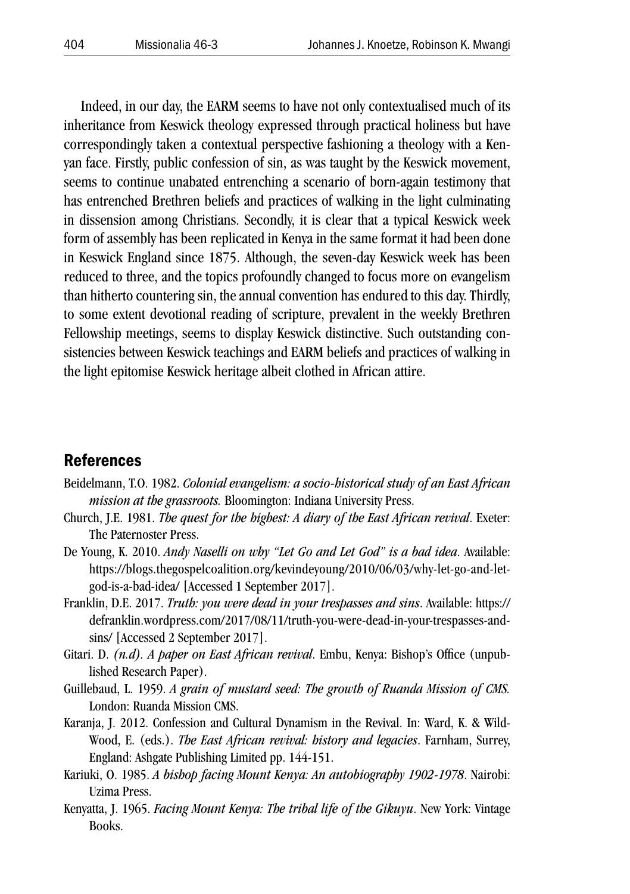Indeed, in our day, the EARM seems to have not only contextualised much of its inheritance from Keswick theology expressed through practical holiness but have correspondingly taken a contextual perspective fashioning a theology with a Kenyan face. Firstly, public confession of sin, as was taught by the Keswick movement, seems to continue unabated entrenching a scenario of born-again testimony that has entrenched Brethren beliefs and practices of walking in the light culminating in dissension among Christians. Secondly, it is clear that a typical Keswick week form of assembly has been replicated in Kenya in the same format it had been done in Keswick England since 1875. Although, the seven-day Keswick week has been reduced to three, and the topics profoundly changed to focus more on evangelism than hitherto countering sin, the annual convention has endured to this day. Thirdly, to some extent devotional reading of scripture, prevalent in the weekly Brethren Fellowship meetings, seems to display Keswick distinctive. Such outstanding consistencies between Keswick teachings and EARM beliefs and practices of walking in the light epitomise Keswick heritage albeit clothed in African attire.

#### **References**

- Beidelmann, T.O. 1982. *Colonial evangelism: a socio-historical study of an East African mission at the grassroots.* Bloomington: Indiana University Press.
- Church, J.E. 1981. *The quest for the highest: A diary of the East African revival*. Exeter: The Paternoster Press.
- De Young, K. 2010. *Andy Naselli on why "Let Go and Let God" is a bad idea*. Available: https://blogs.thegospelcoalition.org/kevindeyoung/2010/06/03/why-let-go-and-letgod-is-a-bad-idea/ [Accessed 1 September 2017].
- Franklin, D.E. 2017. *Truth: you were dead in your trespasses and sins*. Available: https:// defranklin.wordpress.com/2017/08/11/truth-you-were-dead-in-your-trespasses-andsins/ [Accessed 2 September 2017].
- Gitari. D. *(n.d). A paper on East African revival*. Embu, Kenya: Bishop's Office (unpublished Research Paper).
- Guillebaud, L. 1959. *A grain of mustard seed: The growth of Ruanda Mission of CMS.* London: Ruanda Mission CMS.
- Karanja, J. 2012. Confession and Cultural Dynamism in the Revival. In: Ward, K. & Wild-Wood, E. (eds.). *The East African revival: history and legacies*. Farnham, Surrey, England: Ashgate Publishing Limited pp. 144-151.
- Kariuki, O. 1985. *A bishop facing Mount Kenya: An autobiography 1902-1978*. Nairobi: Uzima Press.
- Kenyatta, J. 1965. *Facing Mount Kenya: The tribal life of the Gikuyu*. New York: Vintage Books.